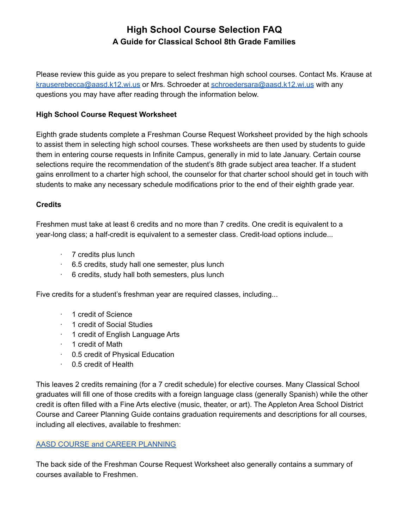# **High School Course Selection FAQ A Guide for Classical School 8th Grade Families**

Please review this guide as you prepare to select freshman high school courses. Contact Ms. Krause at [krauserebecca@aasd.k12.wi.us](mailto:krauserebecca@aasd.k12.wi.us) or Mrs. Schroeder at [schroedersara@aasd.k12.wi.us](mailto:schroedersara@aasd.k12.wi.us) with any questions you may have after reading through the information below.

# **High School Course Request Worksheet**

Eighth grade students complete a Freshman Course Request Worksheet provided by the high schools to assist them in selecting high school courses. These worksheets are then used by students to guide them in entering course requests in Infinite Campus, generally in mid to late January. Certain course selections require the recommendation of the student's 8th grade subject area teacher. If a student gains enrollment to a charter high school, the counselor for that charter school should get in touch with students to make any necessary schedule modifications prior to the end of their eighth grade year.

## **Credits**

Freshmen must take at least 6 credits and no more than 7 credits. One credit is equivalent to a year-long class; a half-credit is equivalent to a semester class. Credit-load options include...

- · 7 credits plus lunch
- · 6.5 credits, study hall one semester, plus lunch
- · 6 credits, study hall both semesters, plus lunch

Five credits for a student's freshman year are required classes, including...

- · 1 credit of Science
- · 1 credit of Social Studies
- · 1 credit of English Language Arts
- · 1 credit of Math
- · 0.5 credit of Physical Education
- · 0.5 credit of Health

This leaves 2 credits remaining (for a 7 credit schedule) for elective courses. Many Classical School graduates will fill one of those credits with a foreign language class (generally Spanish) while the other credit is often filled with a Fine Arts elective (music, theater, or art). The Appleton Area School District Course and Career Planning Guide contains graduation requirements and descriptions for all courses, including all electives, available to freshmen:

### AASD COURSE and CAREER [PLANNING](http://www.aasd.k12.wi.us/district/district_departments___contacts/standards___curriculum/course_planning)

The back side of the Freshman Course Request Worksheet also generally contains a summary of courses available to Freshmen.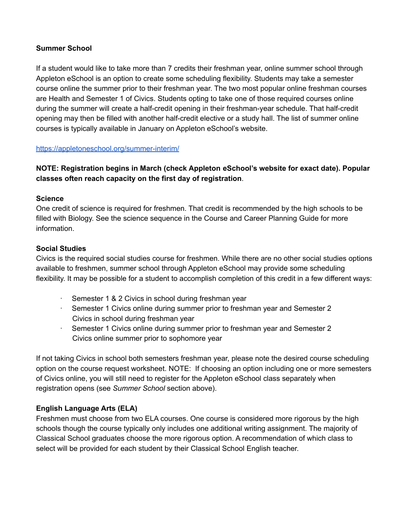## **Summer School**

If a student would like to take more than 7 credits their freshman year, online summer school through Appleton eSchool is an option to create some scheduling flexibility. Students may take a semester course online the summer prior to their freshman year. The two most popular online freshman courses are Health and Semester 1 of Civics. Students opting to take one of those required courses online during the summer will create a half-credit opening in their freshman-year schedule. That half-credit opening may then be filled with another half-credit elective or a study hall. The list of summer online courses is typically available in January on Appleton eSchool's website.

## <https://appletoneschool.org/summer-interim/>

# **NOTE: Registration begins in March (check Appleton eSchool's website for exact date). Popular classes often reach capacity on the first day of registration**.

## **Science**

One credit of science is required for freshmen. That credit is recommended by the high schools to be filled with Biology. See the science sequence in the Course and Career Planning Guide for more information.

## **Social Studies**

Civics is the required social studies course for freshmen. While there are no other social studies options available to freshmen, summer school through Appleton eSchool may provide some scheduling flexibility. It may be possible for a student to accomplish completion of this credit in a few different ways:

- · Semester 1 & 2 Civics in school during freshman year
- · Semester 1 Civics online during summer prior to freshman year and Semester 2 Civics in school during freshman year
- · Semester 1 Civics online during summer prior to freshman year and Semester 2 Civics online summer prior to sophomore year

If not taking Civics in school both semesters freshman year, please note the desired course scheduling option on the course request worksheet. NOTE: If choosing an option including one or more semesters of Civics online, you will still need to register for the Appleton eSchool class separately when registration opens (see *Summer School* section above).

# **English Language Arts (ELA)**

Freshmen must choose from two ELA courses. One course is considered more rigorous by the high schools though the course typically only includes one additional writing assignment. The majority of Classical School graduates choose the more rigorous option. A recommendation of which class to select will be provided for each student by their Classical School English teacher.